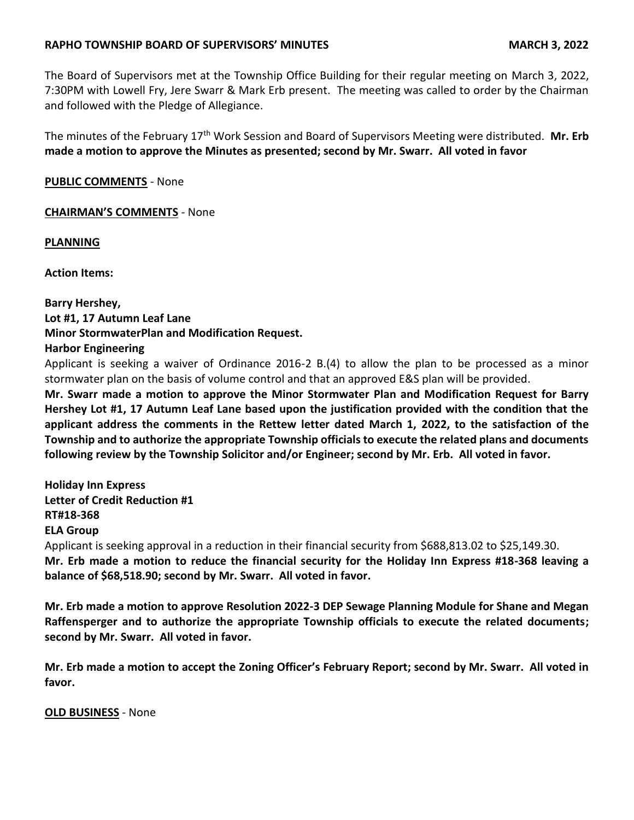## **RAPHO TOWNSHIP BOARD OF SUPERVISORS' MINUTES MARCH 3, 2022**

The Board of Supervisors met at the Township Office Building for their regular meeting on March 3, 2022, 7:30PM with Lowell Fry, Jere Swarr & Mark Erb present. The meeting was called to order by the Chairman and followed with the Pledge of Allegiance.

The minutes of the February 17th Work Session and Board of Supervisors Meeting were distributed. **Mr. Erb made a motion to approve the Minutes as presented; second by Mr. Swarr. All voted in favor**

**PUBLIC COMMENTS** - None

### **CHAIRMAN'S COMMENTS** - None

**PLANNING**

**Action Items:**

**Barry Hershey, Lot #1, 17 Autumn Leaf Lane Minor StormwaterPlan and Modification Request. Harbor Engineering**

Applicant is seeking a waiver of Ordinance 2016-2 B.(4) to allow the plan to be processed as a minor stormwater plan on the basis of volume control and that an approved E&S plan will be provided.

**Mr. Swarr made a motion to approve the Minor Stormwater Plan and Modification Request for Barry Hershey Lot #1, 17 Autumn Leaf Lane based upon the justification provided with the condition that the applicant address the comments in the Rettew letter dated March 1, 2022, to the satisfaction of the Township and to authorize the appropriate Township officials to execute the related plans and documents following review by the Township Solicitor and/or Engineer; second by Mr. Erb. All voted in favor.**

**Holiday Inn Express Letter of Credit Reduction #1 RT#18-368 ELA Group** Applicant is seeking approval in a reduction in their financial security from \$688,813.02 to \$25,149.30. **Mr. Erb made a motion to reduce the financial security for the Holiday Inn Express #18-368 leaving a balance of \$68,518.90; second by Mr. Swarr. All voted in favor.**

**Mr. Erb made a motion to approve Resolution 2022-3 DEP Sewage Planning Module for Shane and Megan Raffensperger and to authorize the appropriate Township officials to execute the related documents; second by Mr. Swarr. All voted in favor.**

**Mr. Erb made a motion to accept the Zoning Officer's February Report; second by Mr. Swarr. All voted in favor.**

**OLD BUSINESS** - None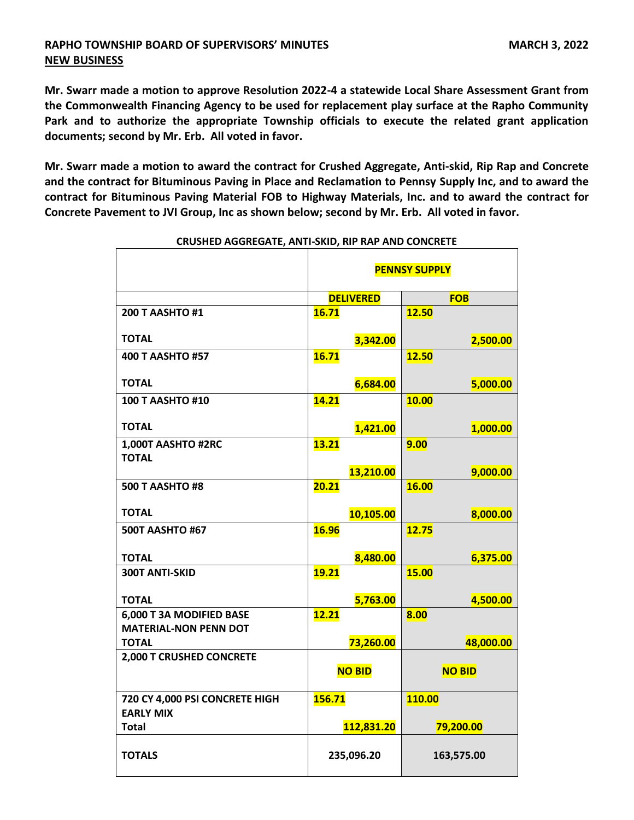## **RAPHO TOWNSHIP BOARD OF SUPERVISORS' MINUTES MARCH 3, 2022 NEW BUSINESS**

**Mr. Swarr made a motion to approve Resolution 2022-4 a statewide Local Share Assessment Grant from the Commonwealth Financing Agency to be used for replacement play surface at the Rapho Community Park and to authorize the appropriate Township officials to execute the related grant application documents; second by Mr. Erb. All voted in favor.**

**Mr. Swarr made a motion to award the contract for Crushed Aggregate, Anti-skid, Rip Rap and Concrete and the contract for Bituminous Paving in Place and Reclamation to Pennsy Supply Inc, and to award the contract for Bituminous Paving Material FOB to Highway Materials, Inc. and to award the contract for Concrete Pavement to JVI Group, Inc as shown below; second by Mr. Erb. All voted in favor.**

|                                                    | <b>PENNSY SUPPLY</b> |               |
|----------------------------------------------------|----------------------|---------------|
|                                                    | <b>DELIVERED</b>     | <b>FOB</b>    |
| <b>200 T AASHTO #1</b>                             | 16.71                | <b>12.50</b>  |
| <b>TOTAL</b>                                       | 3,342.00             | 2,500.00      |
| <b>400 T AASHTO #57</b>                            | <b>16.71</b>         | 12.50         |
| <b>TOTAL</b>                                       | 6,684.00             | 5,000.00      |
| <b>100 T AASHTO #10</b>                            | 14.21                | 10.00         |
| <b>TOTAL</b>                                       | 1,421.00             | 1,000.00      |
| 1,000T AASHTO #2RC<br><b>TOTAL</b>                 | 13.21                | 9.00          |
|                                                    | 13,210.00            | 9,000.00      |
| <b>500 T AASHTO #8</b>                             | 20.21                | 16.00         |
| <b>TOTAL</b>                                       | 10,105.00            | 8,000.00      |
| <b>500T AASHTO #67</b>                             | <b>16.96</b>         | 12.75         |
| <b>TOTAL</b>                                       | 8,480.00             | 6,375.00      |
| 300T ANTI-SKID                                     | <b>19.21</b>         | 15.00         |
| <b>TOTAL</b>                                       | 5,763.00             | 4,500.00      |
| 6,000 T 3A MODIFIED BASE                           | 12.21                | 8.00          |
| <b>MATERIAL-NON PENN DOT</b><br><b>TOTAL</b>       | 73,260.00            | 48,000.00     |
| 2,000 T CRUSHED CONCRETE                           |                      |               |
|                                                    | <b>NO BID</b>        | <b>NO BID</b> |
| 720 CY 4,000 PSI CONCRETE HIGH<br><b>EARLY MIX</b> | 156.71               | 110.00        |
| <b>Total</b>                                       | 112,831.20           | 79,200.00     |
| <b>TOTALS</b>                                      | 235,096.20           | 163,575.00    |

### **CRUSHED AGGREGATE, ANTI-SKID, RIP RAP AND CONCRETE**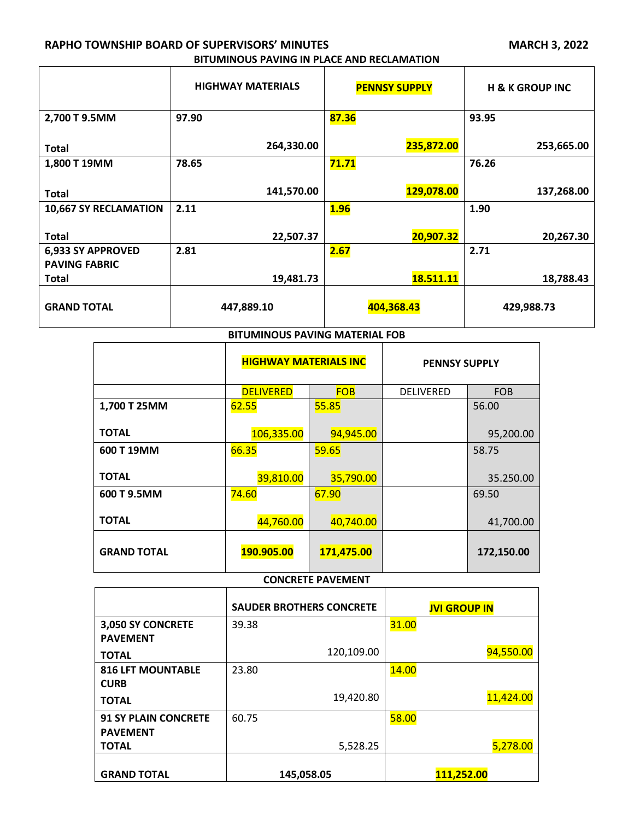# **RAPHO TOWNSHIP BOARD OF SUPERVISORS' MINUTES MARCH 3, 2022 BITUMINOUS PAVING IN PLACE AND RECLAMATION CONTINUES.**

 $\overline{a}$ 

| BITUMINOUS PAVING IN PLACE AND RECLAMATION |  |  |
|--------------------------------------------|--|--|
|                                            |  |  |

|                                           | <b>HIGHWAY MATERIALS</b> | <b>PENNSY SUPPLY</b> | <b>H &amp; K GROUP INC</b> |
|-------------------------------------------|--------------------------|----------------------|----------------------------|
| 2,700 T 9.5MM                             | 97.90                    | 87.36                | 93.95                      |
| <b>Total</b>                              | 264,330.00               | 235,872.00           | 253,665.00                 |
| 1,800 T 19MM                              | 78.65                    | 71.71                | 76.26                      |
| <b>Total</b>                              | 141,570.00               | 129,078.00           | 137,268.00                 |
| <b>10,667 SY RECLAMATION</b>              | 2.11                     | <b>1.96</b>          | 1.90                       |
| <b>Total</b>                              | 22,507.37                | 20,907.32            | 20,267.30                  |
| 6,933 SY APPROVED<br><b>PAVING FABRIC</b> | 2.81                     | 2.67                 | 2.71                       |
| <b>Total</b>                              | 19,481.73                | 18.511.11            | 18,788.43                  |
| <b>GRAND TOTAL</b>                        | 447,889.10               | 404,368.43           | 429,988.73                 |
| <b>BITUMINOUS PAVING MATERIAL FOB</b>     |                          |                      |                            |

|                    | <b>HIGHWAY MATERIALS INC</b> |            | <b>PENNSY SUPPLY</b> |            |
|--------------------|------------------------------|------------|----------------------|------------|
|                    | <b>DELIVERED</b>             | <b>FOB</b> | <b>DELIVERED</b>     | <b>FOB</b> |
| 1,700 T 25MM       | 62.55                        | 55.85      |                      | 56.00      |
| <b>TOTAL</b>       | 106,335.00                   | 94,945.00  |                      | 95,200.00  |
| 600 T 19MM         | 66.35                        | 59.65      |                      | 58.75      |
| <b>TOTAL</b>       | 39,810.00                    | 35,790.00  |                      | 35.250.00  |
| 600 T 9.5MM        | 74.60                        | 67.90      |                      | 69.50      |
| <b>TOTAL</b>       | 44,760.00                    | 40,740.00  |                      | 41,700.00  |
| <b>GRAND TOTAL</b> | 190.905.00                   | 171,475.00 |                      | 172,150.00 |

# **CONCRETE PAVEMENT**

|                             | <b>SAUDER BROTHERS CONCRETE</b> | <b>JVI GROUP IN</b> |  |
|-----------------------------|---------------------------------|---------------------|--|
| 3,050 SY CONCRETE           | 39.38                           | 31.00               |  |
| <b>PAVEMENT</b>             |                                 |                     |  |
| <b>TOTAL</b>                | 120,109.00                      | 94,550.00           |  |
| <b>816 LFT MOUNTABLE</b>    | 23.80                           | 14.00               |  |
| <b>CURB</b>                 |                                 |                     |  |
| <b>TOTAL</b>                | 19,420.80                       | 11,424.00           |  |
| <b>91 SY PLAIN CONCRETE</b> | 60.75                           | 58.00               |  |
| <b>PAVEMENT</b>             |                                 |                     |  |
| <b>TOTAL</b>                | 5,528.25                        | 5,278.00            |  |
|                             |                                 |                     |  |
| <b>GRAND TOTAL</b>          | 145,058.05                      | 111,252.00          |  |